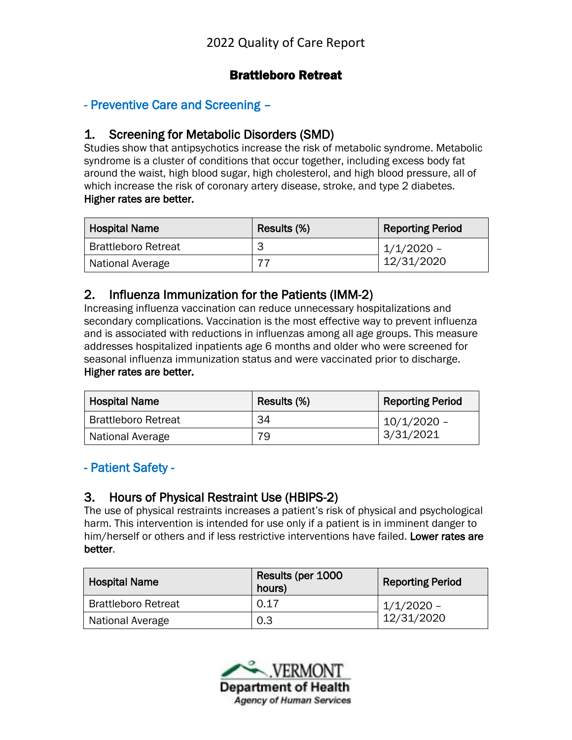## Brattleboro Retreat

## - Preventive Care and Screening –

#### 1. Screening for Metabolic Disorders (SMD)

Studies show that antipsychotics increase the risk of metabolic syndrome. Metabolic syndrome is a cluster of conditions that occur together, including excess body fat around the waist, high blood sugar, high cholesterol, and high blood pressure, all of which increase the risk of coronary artery disease, stroke, and type 2 diabetes. Higher rates are better.

| <b>Hospital Name</b>       | Results (%) | <b>Reporting Period</b> |
|----------------------------|-------------|-------------------------|
| <b>Brattleboro Retreat</b> | З           | 1/1/2020 -              |
| National Average           |             | 12/31/2020              |

#### 2. Influenza Immunization for the Patients (IMM-2)

Increasing influenza vaccination can reduce unnecessary hospitalizations and secondary complications. Vaccination is the most effective way to prevent influenza and is associated with reductions in influenzas among all age groups. This measure addresses hospitalized inpatients age 6 months and older who were screened for seasonal influenza immunization status and were vaccinated prior to discharge. Higher rates are better.

| <b>Hospital Name</b>       | Results (%) | <b>Reporting Period</b> |
|----------------------------|-------------|-------------------------|
| <b>Brattleboro Retreat</b> | 34          | $10/1/2020$ -           |
| National Average           | 79          | 3/31/2021               |

#### - Patient Safety -

#### 3. Hours of Physical Restraint Use (HBIPS-2)

The use of physical restraints increases a patient's risk of physical and psychological harm. This intervention is intended for use only if a patient is in imminent danger to him/herself or others and if less restrictive interventions have failed. Lower rates are better.

| <b>Hospital Name</b>       | Results (per 1000<br>hours) | <b>Reporting Period</b> |
|----------------------------|-----------------------------|-------------------------|
| <b>Brattleboro Retreat</b> | 0.17                        | $1/1/2020 -$            |
| National Average           | 0.3                         | 12/31/2020              |

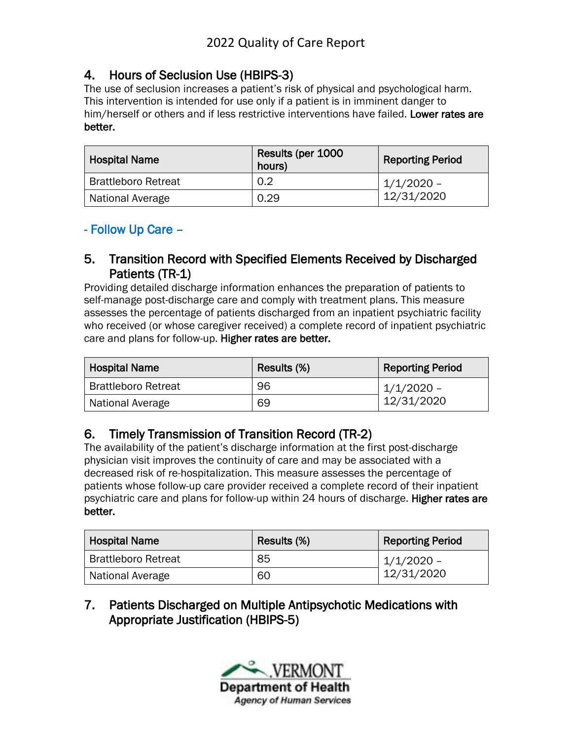# 4. Hours of Seclusion Use (HBIPS-3)

The use of seclusion increases a patient's risk of physical and psychological harm. This intervention is intended for use only if a patient is in imminent danger to him/herself or others and if less restrictive interventions have failed. Lower rates are better.

| <b>Hospital Name</b>       | Results (per 1000<br>hours) | <b>Reporting Period</b> |
|----------------------------|-----------------------------|-------------------------|
| <b>Brattleboro Retreat</b> | 0.2                         | 1/1/2020 -              |
| National Average           | 0.29                        | 12/31/2020              |

# - Follow Up Care –

#### 5. Transition Record with Specified Elements Received by Discharged Patients (TR-1)

Providing detailed discharge information enhances the preparation of patients to self-manage post-discharge care and comply with treatment plans. This measure assesses the percentage of patients discharged from an inpatient psychiatric facility who received (or whose caregiver received) a complete record of inpatient psychiatric care and plans for follow-up. Higher rates are better.

| <b>Hospital Name</b>       | Results (%) | <b>Reporting Period</b> |
|----------------------------|-------------|-------------------------|
| <b>Brattleboro Retreat</b> | 96          | $1/1/2020$ –            |
| National Average           | 69          | 12/31/2020              |

# 6. Timely Transmission of Transition Record (TR-2)

The availability of the patient's discharge information at the first post-discharge physician visit improves the continuity of care and may be associated with a decreased risk of re-hospitalization. This measure assesses the percentage of patients whose follow-up care provider received a complete record of their inpatient psychiatric care and plans for follow-up within 24 hours of discharge. Higher rates are better.

| <b>Hospital Name</b>       | Results (%) | <b>Reporting Period</b> |
|----------------------------|-------------|-------------------------|
| <b>Brattleboro Retreat</b> | 85          | 1/1/2020 -              |
| National Average           | 60          | 12/31/2020              |

7. Patients Discharged on Multiple Antipsychotic Medications with Appropriate Justification (HBIPS-5)

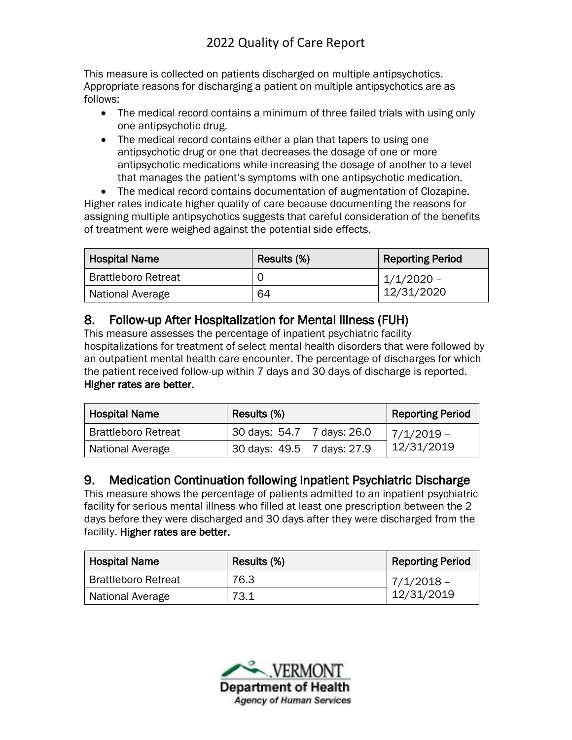This measure is collected on patients discharged on multiple antipsychotics. Appropriate reasons for discharging a patient on multiple antipsychotics are as follows:

- The medical record contains a minimum of three failed trials with using only one antipsychotic drug.
- The medical record contains either a plan that tapers to using one antipsychotic drug or one that decreases the dosage of one or more antipsychotic medications while increasing the dosage of another to a level that manages the patient's symptoms with one antipsychotic medication.

• The medical record contains documentation of augmentation of Clozapine. Higher rates indicate higher quality of care because documenting the reasons for assigning multiple antipsychotics suggests that careful consideration of the benefits of treatment were weighed against the potential side effects.

| <b>Hospital Name</b>       | Results (%) | <b>Reporting Period</b> |
|----------------------------|-------------|-------------------------|
| <b>Brattleboro Retreat</b> |             | 1/1/2020 -              |
| National Average           | 64          | 12/31/2020              |

# 8. Follow-up After Hospitalization for Mental Illness (FUH)

This measure assesses the percentage of inpatient psychiatric facility hospitalizations for treatment of select mental health disorders that were followed by an outpatient mental health care encounter. The percentage of discharges for which the patient received follow-up within 7 days and 30 days of discharge is reported. Higher rates are better.

| <b>Hospital Name</b>       | Results (%)                | <b>Reporting Period</b> |
|----------------------------|----------------------------|-------------------------|
| <b>Brattleboro Retreat</b> | 30 days: 54.7 7 days: 26.0 | $ 7/1/2019 -$           |
| National Average           | 30 days: 49.5 7 days: 27.9 | 12/31/2019              |

# 9. Medication Continuation following Inpatient Psychiatric Discharge

This measure shows the percentage of patients admitted to an inpatient psychiatric facility for serious mental illness who filled at least one prescription between the 2 days before they were discharged and 30 days after they were discharged from the facility. Higher rates are better.

| <b>Hospital Name</b>       | Results (%) | <b>Reporting Period</b> |
|----------------------------|-------------|-------------------------|
| <b>Brattleboro Retreat</b> | 76.3        | 7/1/2018 -              |
| National Average           | 73.1        | 12/31/2019              |

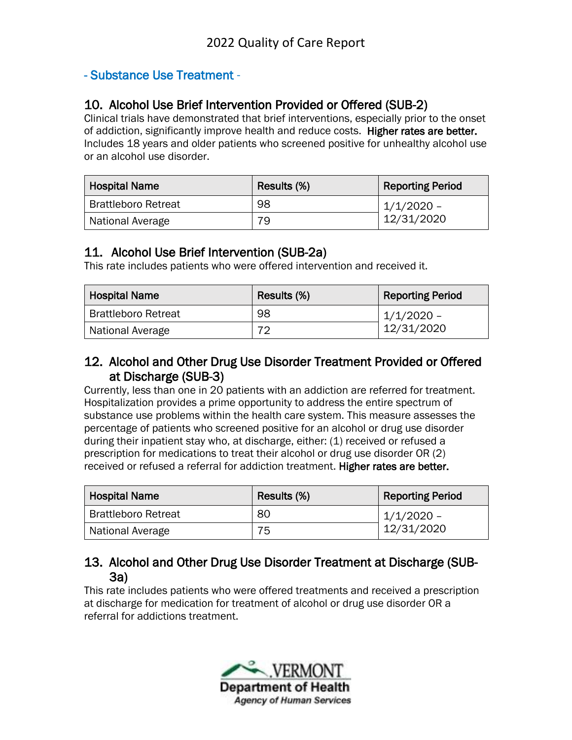## - Substance Use Treatment -

## 10. Alcohol Use Brief Intervention Provided or Offered (SUB-2)

Clinical trials have demonstrated that brief interventions, especially prior to the onset of addiction, significantly improve health and reduce costs. Higher rates are better. Includes 18 years and older patients who screened positive for unhealthy alcohol use or an alcohol use disorder.

| <b>Hospital Name</b>       | Results (%) | <b>Reporting Period</b> |
|----------------------------|-------------|-------------------------|
| <b>Brattleboro Retreat</b> | 98          | 1/1/2020 -              |
| National Average           | 79.         | 12/31/2020              |

#### 11. Alcohol Use Brief Intervention (SUB-2a)

This rate includes patients who were offered intervention and received it.

| <b>Hospital Name</b>       | Results (%) | <b>Reporting Period</b> |
|----------------------------|-------------|-------------------------|
| <b>Brattleboro Retreat</b> | 98          | $1/1/2020$ –            |
| National Average           | 70          | 12/31/2020              |

## 12. Alcohol and Other Drug Use Disorder Treatment Provided or Offered at Discharge (SUB-3)

Currently, less than one in 20 patients with an addiction are referred for treatment. Hospitalization provides a prime opportunity to address the entire spectrum of substance use problems within the health care system. This measure assesses the percentage of patients who screened positive for an alcohol or drug use disorder during their inpatient stay who, at discharge, either: (1) received or refused a prescription for medications to treat their alcohol or drug use disorder OR (2) received or refused a referral for addiction treatment. Higher rates are better.

| <b>Hospital Name</b>       | Results (%) | <b>Reporting Period</b> |
|----------------------------|-------------|-------------------------|
| <b>Brattleboro Retreat</b> | 80          | 1/1/2020 -              |
| National Average           | 75          | 12/31/2020              |

## 13. Alcohol and Other Drug Use Disorder Treatment at Discharge (SUB-3a)

This rate includes patients who were offered treatments and received a prescription at discharge for medication for treatment of alcohol or drug use disorder OR a referral for addictions treatment.

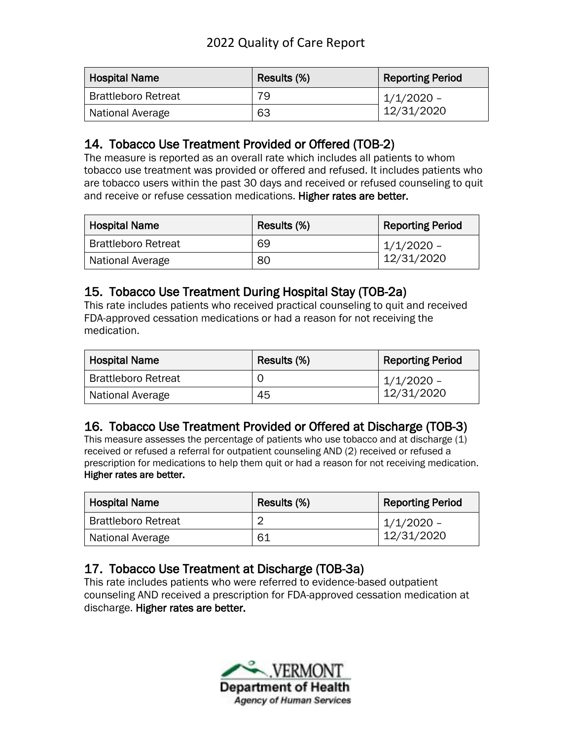# 2022 Quality of Care Report

| <b>Hospital Name</b>       | Results (%) | Reporting Period |
|----------------------------|-------------|------------------|
| <b>Brattleboro Retreat</b> | 79          | 1/1/2020 -       |
| National Average           | 63          | 12/31/2020       |

## 14. Tobacco Use Treatment Provided or Offered (TOB-2)

The measure is reported as an overall rate which includes all patients to whom tobacco use treatment was provided or offered and refused. It includes patients who are tobacco users within the past 30 days and received or refused counseling to quit and receive or refuse cessation medications. Higher rates are better.

| <b>Hospital Name</b>       | Results (%) | <b>Reporting Period</b>    |
|----------------------------|-------------|----------------------------|
| <b>Brattleboro Retreat</b> | 69          | $1/1/2020 -$<br>12/31/2020 |
| National Average           | 80          |                            |

## 15. Tobacco Use Treatment During Hospital Stay (TOB-2a)

This rate includes patients who received practical counseling to quit and received FDA-approved cessation medications or had a reason for not receiving the medication.

| <b>Hospital Name</b>       | Results (%) | <b>Reporting Period</b> |
|----------------------------|-------------|-------------------------|
| <b>Brattleboro Retreat</b> |             | $1/1/2020$ –            |
| National Average           | 45          | 12/31/2020              |

# 16. Tobacco Use Treatment Provided or Offered at Discharge (TOB-3)

This measure assesses the percentage of patients who use tobacco and at discharge (1) received or refused a referral for outpatient counseling AND (2) received or refused a prescription for medications to help them quit or had a reason for not receiving medication. Higher rates are better.

| <b>Hospital Name</b>       | Results (%) | <b>Reporting Period</b>    |
|----------------------------|-------------|----------------------------|
| <b>Brattleboro Retreat</b> |             | $1/1/2020 -$<br>12/31/2020 |
| National Average           | 61          |                            |

# 17. Tobacco Use Treatment at Discharge (TOB-3a)

This rate includes patients who were referred to evidence-based outpatient counseling AND received a prescription for FDA-approved cessation medication at discharge. Higher rates are better.